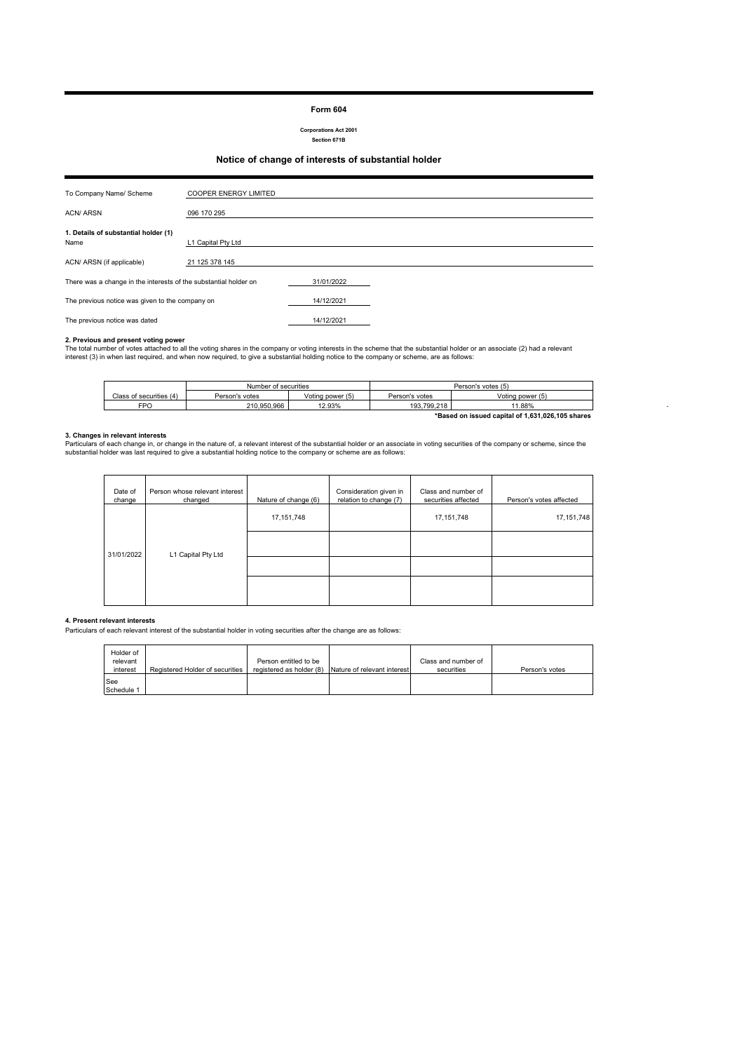#### **Form 604**

**Corporations Act 2001 Section 671B**

## **Notice of change of interests of substantial holder**

| To Company Name/ Scheme                                          | <b>COOPER ENERGY LIMITED</b> |  |
|------------------------------------------------------------------|------------------------------|--|
| <b>ACN/ ARSN</b>                                                 | 096 170 295                  |  |
| 1. Details of substantial holder (1)<br>Name                     | L1 Capital Pty Ltd           |  |
| ACN/ ARSN (if applicable)                                        | 21 125 378 145               |  |
| There was a change in the interests of the substantial holder on | 31/01/2022                   |  |
| The previous notice was given to the company on                  | 14/12/2021                   |  |
| The previous notice was dated                                    | 14/12/2021                   |  |

**2. Previous and present voting power**<br>The total number of votes attached to all the voting shares in the company or voting interests in the scheme that the substantial holder or an associate (2) had a relevant<br>interest (3

|                                                  | Number of securities |                  | Person's votes (5) |                  |
|--------------------------------------------------|----------------------|------------------|--------------------|------------------|
| Class of securities (4)                          | Person's votes       | Voting power (5) | Person's votes     | Voting power (5) |
| FPO                                              | 210.950.966          | 12.93%           | 193.799.218        | 11.88%           |
| *Based on issued capital of 1,631,026,105 shares |                      |                  |                    |                  |

- 100 minutes

**3. Changes in relevant interests**<br>Particulars of each change in, or change in the nature of, a relevant interest of the substantial holder or an associate in voting securities of the company or scheme, since the<br>substanti

| Date of<br>change | Person whose relevant interest<br>changed | Nature of change (6) | Consideration given in<br>relation to change (7) | Class and number of<br>securities affected | Person's votes affected |
|-------------------|-------------------------------------------|----------------------|--------------------------------------------------|--------------------------------------------|-------------------------|
| 31/01/2022        |                                           | 17, 151, 748         |                                                  | 17, 151, 748                               | 17, 151, 748            |
|                   | L1 Capital Pty Ltd                        |                      |                                                  |                                            |                         |
|                   |                                           |                      |                                                  |                                            |                         |
|                   |                                           |                      |                                                  |                                            |                         |

### **4. Present relevant interests**

Particulars of each relevant interest of the substantial holder in voting securities after the change are as follows:

| Holder of<br>relevant<br>interest | Registered Holder of securities | Person entitled to be | registered as holder (8) Nature of relevant interest | Class and number of<br>securities | Person's votes |
|-----------------------------------|---------------------------------|-----------------------|------------------------------------------------------|-----------------------------------|----------------|
| See<br>Schedule 1                 |                                 |                       |                                                      |                                   |                |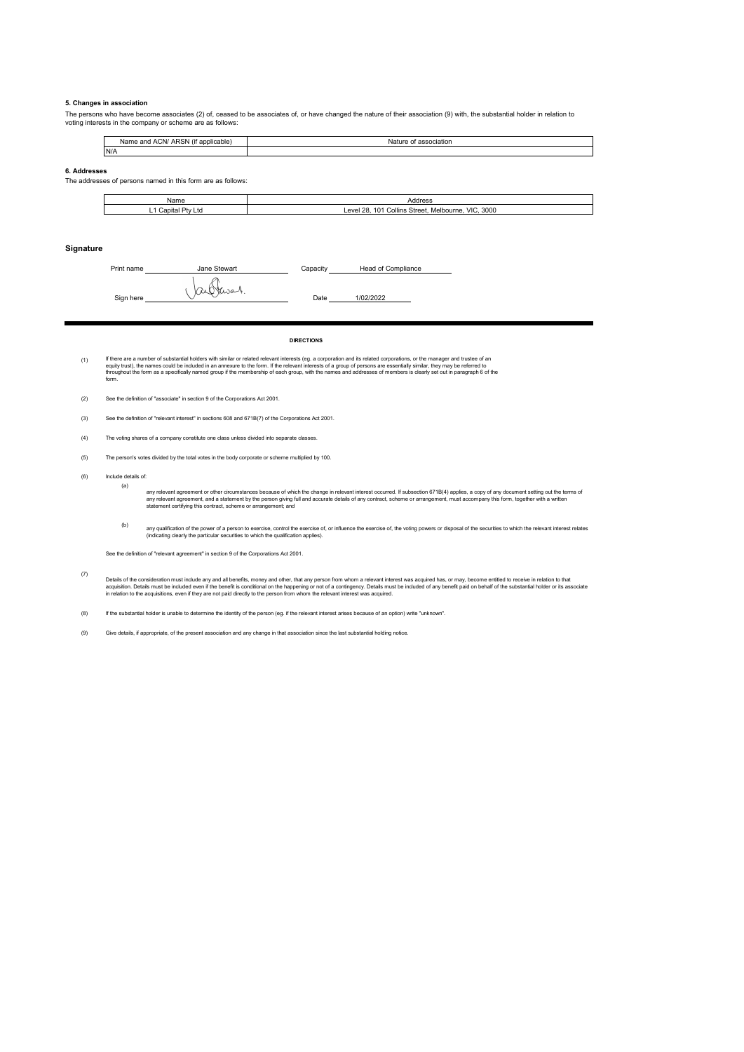#### **5. Changes in association**

The persons who have become associates (2) of, ceased to be associates of, or have changed the nature of their association (9) with, the substantial holder in relation to voting interests in the company or scheme are as follows:

| $\cdots$<br><b>ARSN</b><br>and ACN/<br>f applicable<br>Name<br>(It | association<br>Natur<br>. |
|--------------------------------------------------------------------|---------------------------|
| N/A                                                                |                           |

#### **6. Addresses**

The addresses of persons named in this form are as follows:

| Name                       | Address                                                                           |
|----------------------------|-----------------------------------------------------------------------------------|
| m+<br>Capital<br>∟ພ<br>- ' | 3000<br>VIC.<br>$^{\circ}28.$<br>۵٬<br>Collins Street.<br>∟evel 1<br>. Melbourne. |

#### **Signature**

Print name **Capacity Capacity Capacity**  $Sign here$   $\bigcup \alpha \bigcup \{x, \alpha - 1, \ldots \}$  Date 1/02/2022 Head of Compliance

**DIRECTIONS**

(1) lf there are a number of substantial holders with similar or related relevant interests (eg. a corporation and is relevant may be present and the set of an experiment of the set of an experiment of the set of an experiment

(2) See the definition of "associate" in section 9 of the Corporations Act 2001.

(3) See the definition of "relevant interest" in sections 608 and 671B(7) of the Corporations Act 2001.

- (4) The voting shares of a company constitute one class unless divided into separate classes.
- (5) The person's votes divided by the total votes in the body corporate or scheme multiplied by 100.
- (6) Include details of:
	- (a)

any relevant agreement or other circumstances because of which the change in relevant interest occurred. If subsection 671B(4) applies, a copy of any document setting out the terms of<br>any relevant agreement, and a statemen

(b) any qualification of the power of a person to exercise, control the seercise of, the voling powers or disposal of the securities to which the relevant interest relates<br>(indicating clearly the particular securities to which

See the definition of "relevant agreement" in section 9 of the Corporations Act 2001.

(7) Detais of the consideration must include any and all benefits, money and other, that any person from whom a relevant interest was acquired has, or may, become entitled to receive in relation to that<br>acquistion. Details mus

(8) If the substantial holder is unable to determine the identity of the person (eg. if the relevant interest arises because of an option) write "unknown".

(9) Give details, if appropriate, of the present association and any change in that association since the last substantial holding notice.